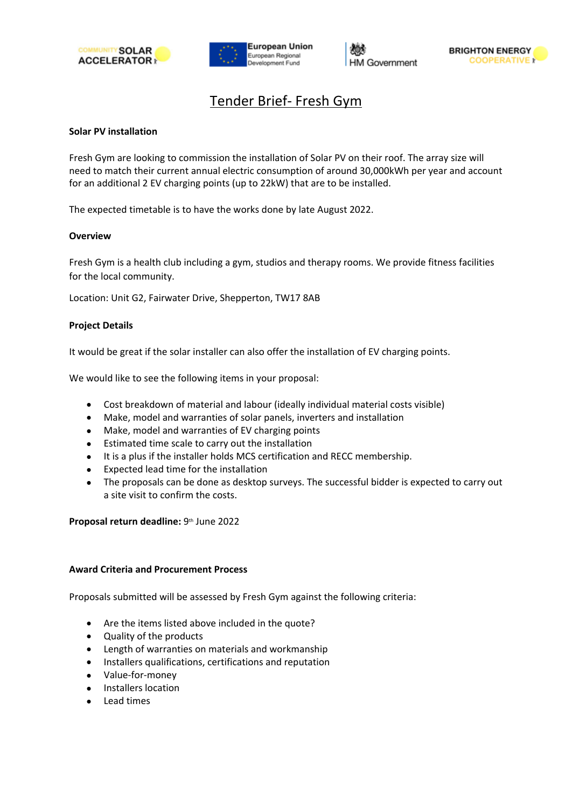





# Tender Brief- Fresh Gym

## **Solar PV installation**

Fresh Gym are looking to commission the installation of Solar PV on their roof. The array size will need to match their current annual electric consumption of around 30,000kWh per year and account for an additional 2 EV charging points (up to 22kW) that are to be installed.

The expected timetable is to have the works done by late August 2022.

### **Overview**

Fresh Gym is a health club including a gym, studios and therapy rooms. We provide fitness facilities for the local community.

Location: Unit G2, Fairwater Drive, Shepperton, TW17 8AB

### **Project Details**

It would be great if the solar installer can also offer the installation of EV charging points.

We would like to see the following items in your proposal:

- Cost breakdown of material and labour (ideally individual material costs visible)
- Make, model and warranties of solar panels, inverters and installation
- Make, model and warranties of EV charging points
- Estimated time scale to carry out the installation
- It is a plus if the installer holds MCS certification and RECC membership.
- Expected lead time for the installation
- The proposals can be done as desktop surveys. The successful bidder is expected to carry out a site visit to confirm the costs.

**Proposal return deadline:** 9th June 2022

#### **Award Criteria and Procurement Process**

Proposals submitted will be assessed by Fresh Gym against the following criteria:

- Are the items listed above included in the quote?
- Quality of the products
- Length of warranties on materials and workmanship
- Installers qualifications, certifications and reputation
- Value-for-money
- Installers location
- Lead times